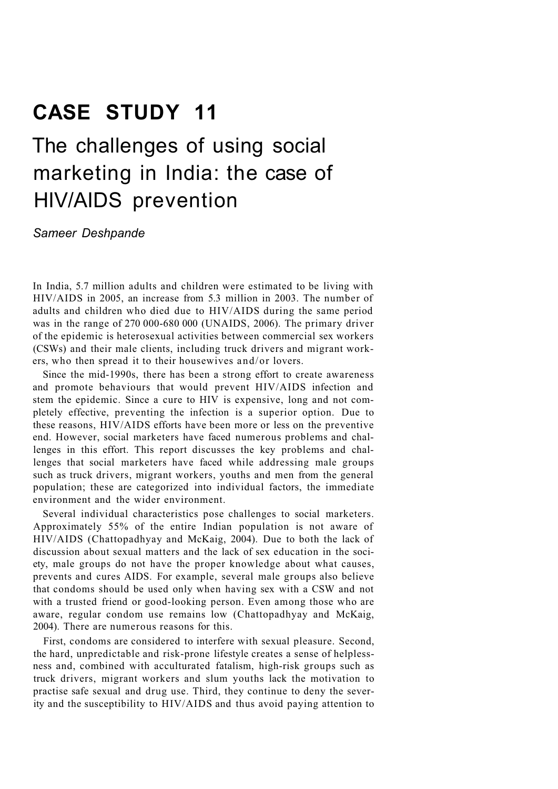## **CASE STUDY 11**

# The challenges of using social marketing in India: the case of HIV/AIDS prevention

*Sameer Deshpande* 

In India, 5.7 million adults and children were estimated to be living with HIV/AIDS in 2005, an increase from 5.3 million in 2003. The number of adults and children who died due to HIV/AIDS during the same period was in the range of 270 000-680 000 (UNAIDS, 2006). The primary driver of the epidemic is heterosexual activities between commercial sex workers (CSWs) and their male clients, including truck drivers and migrant workers, who then spread it to their housewives and/or lovers.

Since the mid-1990s, there has been a strong effort to create awareness and promote behaviours that would prevent HIV/AIDS infection and stem the epidemic. Since a cure to HIV is expensive, long and not completely effective, preventing the infection is a superior option. Due to these reasons, HIV/AIDS efforts have been more or less on the preventive end. However, social marketers have faced numerous problems and challenges in this effort. This report discusses the key problems and challenges that social marketers have faced while addressing male groups such as truck drivers, migrant workers, youths and men from the general population; these are categorized into individual factors, the immediate environment and the wider environment.

Several individual characteristics pose challenges to social marketers. Approximately 55% of the entire Indian population is not aware of HIV/AIDS (Chattopadhyay and McKaig, 2004). Due to both the lack of discussion about sexual matters and the lack of sex education in the society, male groups do not have the proper knowledge about what causes, prevents and cures AIDS. For example, several male groups also believe that condoms should be used only when having sex with a CSW and not with a trusted friend or good-looking person. Even among those who are aware, regular condom use remains low (Chattopadhyay and McKaig, 2004). There are numerous reasons for this.

First, condoms are considered to interfere with sexual pleasure. Second, the hard, unpredictable and risk-prone lifestyle creates a sense of helplessness and, combined with acculturated fatalism, high-risk groups such as truck drivers, migrant workers and slum youths lack the motivation to practise safe sexual and drug use. Third, they continue to deny the severity and the susceptibility to HIV/AIDS and thus avoid paying attention to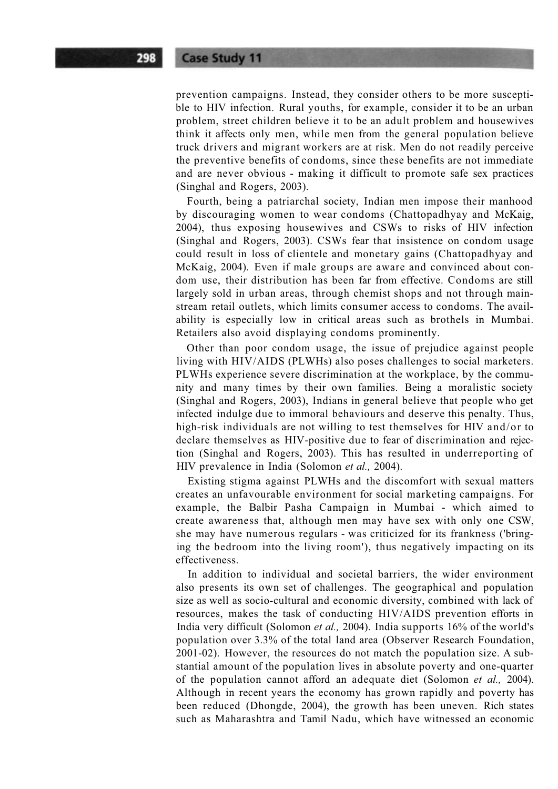prevention campaigns. Instead, they consider others to be more susceptible to HIV infection. Rural youths, for example, consider it to be an urban problem, street children believe it to be an adult problem and housewives think it affects only men, while men from the general population believe truck drivers and migrant workers are at risk. Men do not readily perceive the preventive benefits of condoms, since these benefits are not immediate and are never obvious - making it difficult to promote safe sex practices (Singhal and Rogers, 2003).

Fourth, being a patriarchal society, Indian men impose their manhood by discouraging women to wear condoms (Chattopadhyay and McKaig, 2004), thus exposing housewives and CSWs to risks of HIV infection (Singhal and Rogers, 2003). CSWs fear that insistence on condom usage could result in loss of clientele and monetary gains (Chattopadhyay and McKaig, 2004). Even if male groups are aware and convinced about condom use, their distribution has been far from effective. Condoms are still largely sold in urban areas, through chemist shops and not through mainstream retail outlets, which limits consumer access to condoms. The availability is especially low in critical areas such as brothels in Mumbai. Retailers also avoid displaying condoms prominently.

Other than poor condom usage, the issue of prejudice against people living with HIV/AIDS (PLWHs) also poses challenges to social marketers. PLWHs experience severe discrimination at the workplace, by the community and many times by their own families. Being a moralistic society (Singhal and Rogers, 2003), Indians in general believe that people who get infected indulge due to immoral behaviours and deserve this penalty. Thus, high-risk individuals are not willing to test themselves for HIV and/or to declare themselves as HIV-positive due to fear of discrimination and rejection (Singhal and Rogers, 2003). This has resulted in underreporting of HIV prevalence in India (Solomon *et al.,* 2004).

Existing stigma against PLWHs and the discomfort with sexual matters creates an unfavourable environment for social marketing campaigns. For example, the Balbir Pasha Campaign in Mumbai - which aimed to create awareness that, although men may have sex with only one CSW, she may have numerous regulars - was criticized for its frankness ('bringing the bedroom into the living room'), thus negatively impacting on its effectiveness.

In addition to individual and societal barriers, the wider environment also presents its own set of challenges. The geographical and population size as well as socio-cultural and economic diversity, combined with lack of resources, makes the task of conducting HIV/AIDS prevention efforts in India very difficult (Solomon *et al.,* 2004). India supports 16% of the world's population over 3.3% of the total land area (Observer Research Foundation, 2001-02). However, the resources do not match the population size. A substantial amount of the population lives in absolute poverty and one-quarter of the population cannot afford an adequate diet (Solomon *et al.,* 2004). Although in recent years the economy has grown rapidly and poverty has been reduced (Dhongde, 2004), the growth has been uneven. Rich states such as Maharashtra and Tamil Nadu, which have witnessed an economic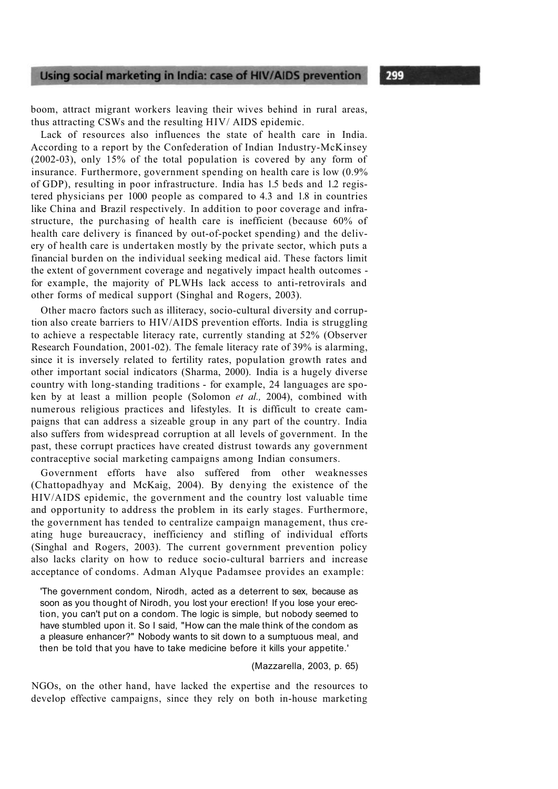boom, attract migrant workers leaving their wives behind in rural areas, thus attracting CSWs and the resulting HIV/ AIDS epidemic.

Lack of resources also influences the state of health care in India. According to a report by the Confederation of Indian Industry-McKinsey (2002-03), only 15% of the total population is covered by any form of insurance. Furthermore, government spending on health care is low (0.9% of GDP), resulting in poor infrastructure. India has 1.5 beds and 1.2 registered physicians per 1000 people as compared to 4.3 and 1.8 in countries like China and Brazil respectively. In addition to poor coverage and infrastructure, the purchasing of health care is inefficient (because 60% of health care delivery is financed by out-of-pocket spending) and the delivery of health care is undertaken mostly by the private sector, which puts a financial burden on the individual seeking medical aid. These factors limit the extent of government coverage and negatively impact health outcomes for example, the majority of PLWHs lack access to anti-retrovirals and other forms of medical support (Singhal and Rogers, 2003).

Other macro factors such as illiteracy, socio-cultural diversity and corruption also create barriers to HIV/AIDS prevention efforts. India is struggling to achieve a respectable literacy rate, currently standing at 52% (Observer Research Foundation, 2001-02). The female literacy rate of 39% is alarming, since it is inversely related to fertility rates, population growth rates and other important social indicators (Sharma, 2000). India is a hugely diverse country with long-standing traditions - for example, 24 languages are spoken by at least a million people (Solomon *et al.,* 2004), combined with numerous religious practices and lifestyles. It is difficult to create campaigns that can address a sizeable group in any part of the country. India also suffers from widespread corruption at all levels of government. In the past, these corrupt practices have created distrust towards any government contraceptive social marketing campaigns among Indian consumers.

Government efforts have also suffered from other weaknesses (Chattopadhyay and McKaig, 2004). By denying the existence of the HIV/AIDS epidemic, the government and the country lost valuable time and opportunity to address the problem in its early stages. Furthermore, the government has tended to centralize campaign management, thus creating huge bureaucracy, inefficiency and stifling of individual efforts (Singhal and Rogers, 2003). The current government prevention policy also lacks clarity on how to reduce socio-cultural barriers and increase acceptance of condoms. Adman Alyque Padamsee provides an example:

'The government condom, Nirodh, acted as a deterrent to sex, because as soon as you thought of Nirodh, you lost your erection! If you lose your erection, you can't put on a condom. The logic is simple, but nobody seemed to have stumbled upon it. So I said, "How can the male think of the condom as a pleasure enhancer?" Nobody wants to sit down to a sumptuous meal, and then be told that you have to take medicine before it kills your appetite.'

#### (Mazzarella, 2003, p. 65)

NGOs, on the other hand, have lacked the expertise and the resources to develop effective campaigns, since they rely on both in-house marketing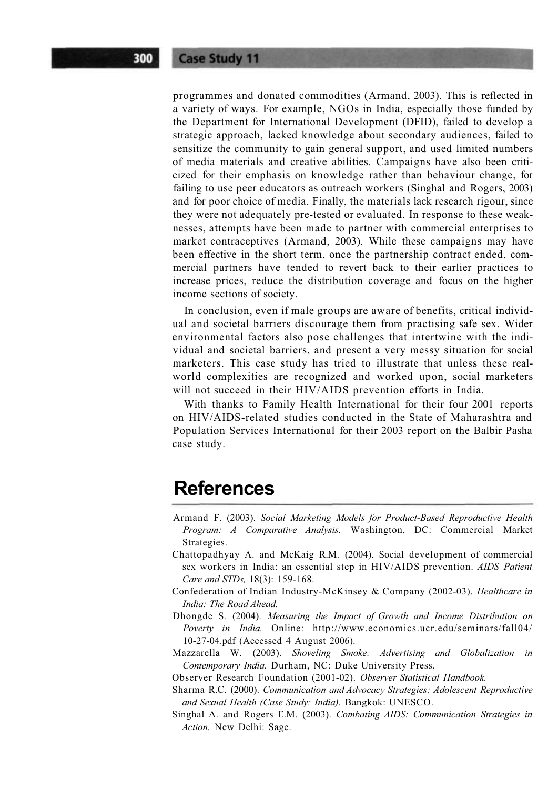programmes and donated commodities (Armand, 2003). This is reflected in a variety of ways. For example, NGOs in India, especially those funded by the Department for International Development (DFID), failed to develop a strategic approach, lacked knowledge about secondary audiences, failed to sensitize the community to gain general support, and used limited numbers of media materials and creative abilities. Campaigns have also been criticized for their emphasis on knowledge rather than behaviour change, for failing to use peer educators as outreach workers (Singhal and Rogers, 2003) and for poor choice of media. Finally, the materials lack research rigour, since they were not adequately pre-tested or evaluated. In response to these weaknesses, attempts have been made to partner with commercial enterprises to market contraceptives (Armand, 2003). While these campaigns may have been effective in the short term, once the partnership contract ended, commercial partners have tended to revert back to their earlier practices to increase prices, reduce the distribution coverage and focus on the higher income sections of society.

In conclusion, even if male groups are aware of benefits, critical individual and societal barriers discourage them from practising safe sex. Wider environmental factors also pose challenges that intertwine with the individual and societal barriers, and present a very messy situation for social marketers. This case study has tried to illustrate that unless these realworld complexities are recognized and worked upon, social marketers will not succeed in their HIV/AIDS prevention efforts in India.

With thanks to Family Health International for their four 2001 reports on HIV/AIDS-related studies conducted in the State of Maharashtra and Population Services International for their 2003 report on the Balbir Pasha case study.

#### **References**

- Armand F. (2003). *Social Marketing Models for Product-Based Reproductive Health Program: A Comparative Analysis.* Washington, DC: Commercial Market Strategies.
- Chattopadhyay A. and McKaig R.M. (2004). Social development of commercial sex workers in India: an essential step in HIV/AIDS prevention. *AIDS Patient Care and STDs,* 18(3): 159-168.
- Confederation of Indian Industry-McKinsey & Company (2002-03). *Healthcare in India: The Road Ahead.*
- Dhongde S. (2004). *Measuring the Impact of Growth and Income Distribution on Poverty in India.* Online: http://www.economics.ucr.edu/seminars/fall04/ 10-27-04.pdf (Accessed 4 August 2006).
- Mazzarella W. (2003). *Shoveling Smoke: Advertising and Globalization in Contemporary India.* Durham, NC: Duke University Press.
- Observer Research Foundation (2001-02). *Observer Statistical Handbook.*
- Sharma R.C. (2000). *Communication and Advocacy Strategies: Adolescent Reproductive and Sexual Health (Case Study: India).* Bangkok: UNESCO.
- Singhal A. and Rogers E.M. (2003). *Combating AIDS: Communication Strategies in Action.* New Delhi: Sage.